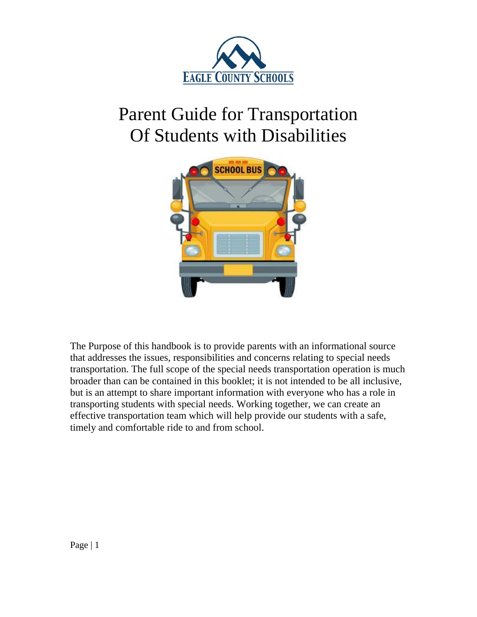

# Parent Guide for Transportation Of Students with Disabilities



The Purpose of this handbook is to provide parents with an informational source that addresses the issues, responsibilities and concerns relating to special needs transportation. The full scope of the special needs transportation operation is much broader than can be contained in this booklet; it is not intended to be all inclusive, but is an attempt to share important information with everyone who has a role in transporting students with special needs. Working together, we can create an effective transportation team which will help provide our students with a safe, timely and comfortable ride to and from school.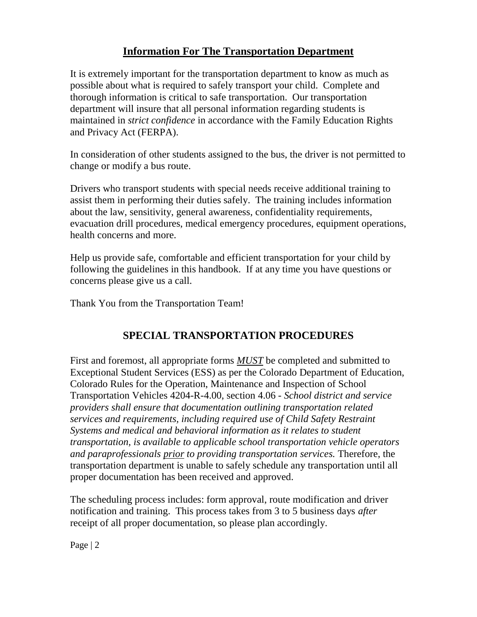### **Information For The Transportation Department**

It is extremely important for the transportation department to know as much as possible about what is required to safely transport your child. Complete and thorough information is critical to safe transportation. Our transportation department will insure that all personal information regarding students is maintained in *strict confidence* in accordance with the Family Education Rights and Privacy Act (FERPA).

In consideration of other students assigned to the bus, the driver is not permitted to change or modify a bus route.

Drivers who transport students with special needs receive additional training to assist them in performing their duties safely. The training includes information about the law, sensitivity, general awareness, confidentiality requirements, evacuation drill procedures, medical emergency procedures, equipment operations, health concerns and more.

Help us provide safe, comfortable and efficient transportation for your child by following the guidelines in this handbook. If at any time you have questions or concerns please give us a call.

Thank You from the Transportation Team!

# **SPECIAL TRANSPORTATION PROCEDURES**

First and foremost, all appropriate forms *MUST* be completed and submitted to Exceptional Student Services (ESS) as per the Colorado Department of Education, Colorado Rules for the Operation, Maintenance and Inspection of School Transportation Vehicles 4204-R-4.00, section 4.06 - *School district and service providers shall ensure that documentation outlining transportation related services and requirements, including required use of Child Safety Restraint Systems and medical and behavioral information as it relates to student transportation, is available to applicable school transportation vehicle operators and paraprofessionals prior to providing transportation services.* Therefore, the transportation department is unable to safely schedule any transportation until all proper documentation has been received and approved.

The scheduling process includes: form approval, route modification and driver notification and training. This process takes from 3 to 5 business days *after*  receipt of all proper documentation, so please plan accordingly.

Page | 2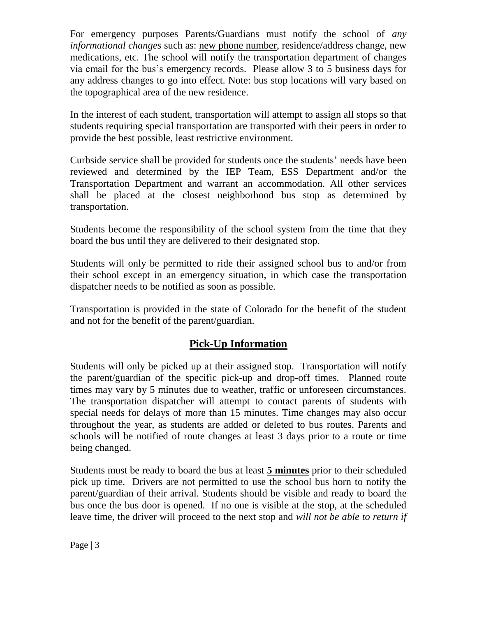For emergency purposes Parents/Guardians must notify the school of *any informational changes* such as: new phone number, residence/address change, new medications, etc. The school will notify the transportation department of changes via email for the bus's emergency records. Please allow 3 to 5 business days for any address changes to go into effect. Note: bus stop locations will vary based on the topographical area of the new residence.

In the interest of each student, transportation will attempt to assign all stops so that students requiring special transportation are transported with their peers in order to provide the best possible, least restrictive environment.

Curbside service shall be provided for students once the students' needs have been reviewed and determined by the IEP Team, ESS Department and/or the Transportation Department and warrant an accommodation. All other services shall be placed at the closest neighborhood bus stop as determined by transportation.

Students become the responsibility of the school system from the time that they board the bus until they are delivered to their designated stop.

Students will only be permitted to ride their assigned school bus to and/or from their school except in an emergency situation, in which case the transportation dispatcher needs to be notified as soon as possible.

Transportation is provided in the state of Colorado for the benefit of the student and not for the benefit of the parent/guardian.

# **Pick-Up Information**

Students will only be picked up at their assigned stop. Transportation will notify the parent/guardian of the specific pick-up and drop-off times. Planned route times may vary by 5 minutes due to weather, traffic or unforeseen circumstances. The transportation dispatcher will attempt to contact parents of students with special needs for delays of more than 15 minutes. Time changes may also occur throughout the year, as students are added or deleted to bus routes. Parents and schools will be notified of route changes at least 3 days prior to a route or time being changed.

Students must be ready to board the bus at least **5 minutes** prior to their scheduled pick up time. Drivers are not permitted to use the school bus horn to notify the parent/guardian of their arrival. Students should be visible and ready to board the bus once the bus door is opened. If no one is visible at the stop, at the scheduled leave time, the driver will proceed to the next stop and *will not be able to return if*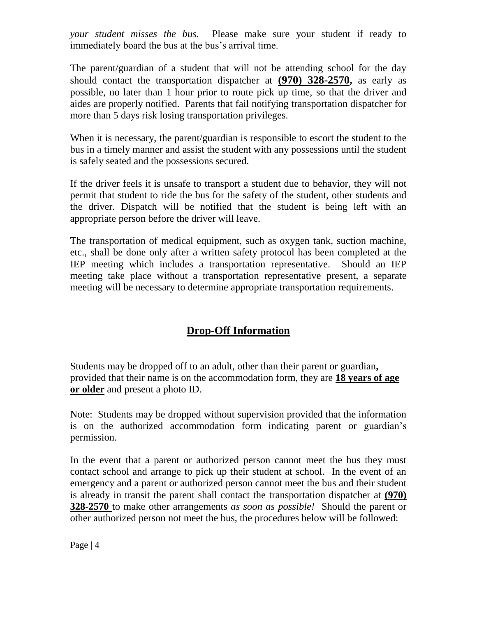*your student misses the bus.* Please make sure your student if ready to immediately board the bus at the bus's arrival time.

The parent/guardian of a student that will not be attending school for the day should contact the transportation dispatcher at **(970) 328-2570,** as early as possible, no later than 1 hour prior to route pick up time, so that the driver and aides are properly notified. Parents that fail notifying transportation dispatcher for more than 5 days risk losing transportation privileges.

When it is necessary, the parent/guardian is responsible to escort the student to the bus in a timely manner and assist the student with any possessions until the student is safely seated and the possessions secured.

If the driver feels it is unsafe to transport a student due to behavior, they will not permit that student to ride the bus for the safety of the student, other students and the driver. Dispatch will be notified that the student is being left with an appropriate person before the driver will leave.

The transportation of medical equipment, such as oxygen tank, suction machine, etc., shall be done only after a written safety protocol has been completed at the IEP meeting which includes a transportation representative. Should an IEP meeting take place without a transportation representative present, a separate meeting will be necessary to determine appropriate transportation requirements.

# **Drop-Off Information**

Students may be dropped off to an adult, other than their parent or guardian**,**  provided that their name is on the accommodation form, they are **18 years of age or older** and present a photo ID.

Note: Students may be dropped without supervision provided that the information is on the authorized accommodation form indicating parent or guardian's permission.

In the event that a parent or authorized person cannot meet the bus they must contact school and arrange to pick up their student at school. In the event of an emergency and a parent or authorized person cannot meet the bus and their student is already in transit the parent shall contact the transportation dispatcher at **(970) 328-2570** to make other arrangements *as soon as possible!* Should the parent or other authorized person not meet the bus, the procedures below will be followed:

Page | 4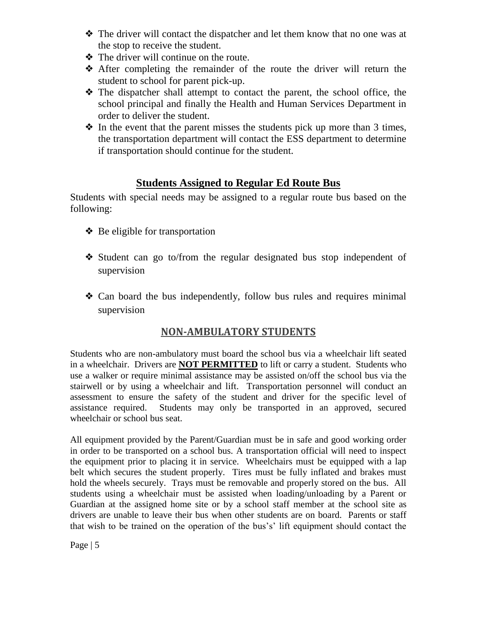- ❖ The driver will contact the dispatcher and let them know that no one was at the stop to receive the student.
- ❖ The driver will continue on the route.
- ❖ After completing the remainder of the route the driver will return the student to school for parent pick-up.
- ❖ The dispatcher shall attempt to contact the parent, the school office, the school principal and finally the Health and Human Services Department in order to deliver the student.
- ❖ In the event that the parent misses the students pick up more than 3 times, the transportation department will contact the ESS department to determine if transportation should continue for the student.

#### **Students Assigned to Regular Ed Route Bus**

Students with special needs may be assigned to a regular route bus based on the following:

- ❖ Be eligible for transportation
- ❖ Student can go to/from the regular designated bus stop independent of supervision
- ❖ Can board the bus independently, follow bus rules and requires minimal supervision

# **NON-AMBULATORY STUDENTS**

Students who are non-ambulatory must board the school bus via a wheelchair lift seated in a wheelchair. Drivers are **NOT PERMITTED** to lift or carry a student. Students who use a walker or require minimal assistance may be assisted on/off the school bus via the stairwell or by using a wheelchair and lift. Transportation personnel will conduct an assessment to ensure the safety of the student and driver for the specific level of assistance required. Students may only be transported in an approved, secured wheelchair or school bus seat.

All equipment provided by the Parent/Guardian must be in safe and good working order in order to be transported on a school bus. A transportation official will need to inspect the equipment prior to placing it in service. Wheelchairs must be equipped with a lap belt which secures the student properly. Tires must be fully inflated and brakes must hold the wheels securely. Trays must be removable and properly stored on the bus. All students using a wheelchair must be assisted when loading/unloading by a Parent or Guardian at the assigned home site or by a school staff member at the school site as drivers are unable to leave their bus when other students are on board. Parents or staff that wish to be trained on the operation of the bus's' lift equipment should contact the

Page  $| 5$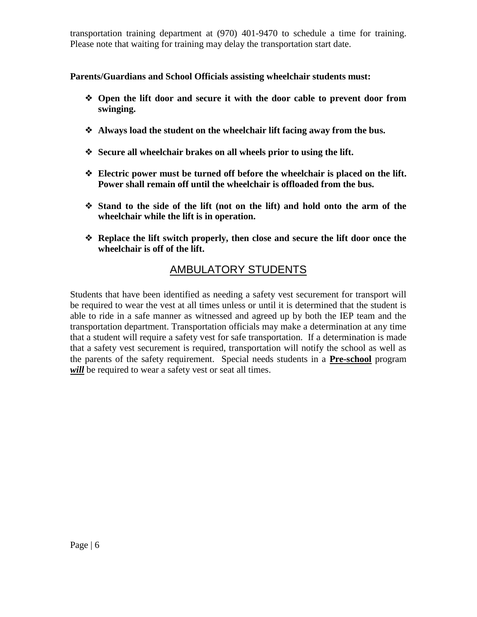transportation training department at (970) 401-9470 to schedule a time for training. Please note that waiting for training may delay the transportation start date.

#### **Parents/Guardians and School Officials assisting wheelchair students must:**

- ❖ **Open the lift door and secure it with the door cable to prevent door from swinging.**
- ❖ **Always load the student on the wheelchair lift facing away from the bus.**
- ❖ **Secure all wheelchair brakes on all wheels prior to using the lift.**
- ❖ **Electric power must be turned off before the wheelchair is placed on the lift. Power shall remain off until the wheelchair is offloaded from the bus.**
- ❖ **Stand to the side of the lift (not on the lift) and hold onto the arm of the wheelchair while the lift is in operation.**
- ❖ **Replace the lift switch properly, then close and secure the lift door once the wheelchair is off of the lift.**

# AMBULATORY STUDENTS

Students that have been identified as needing a safety vest securement for transport will be required to wear the vest at all times unless or until it is determined that the student is able to ride in a safe manner as witnessed and agreed up by both the IEP team and the transportation department. Transportation officials may make a determination at any time that a student will require a safety vest for safe transportation. If a determination is made that a safety vest securement is required, transportation will notify the school as well as the parents of the safety requirement. Special needs students in a **Pre-school** program will be required to wear a safety vest or seat all times.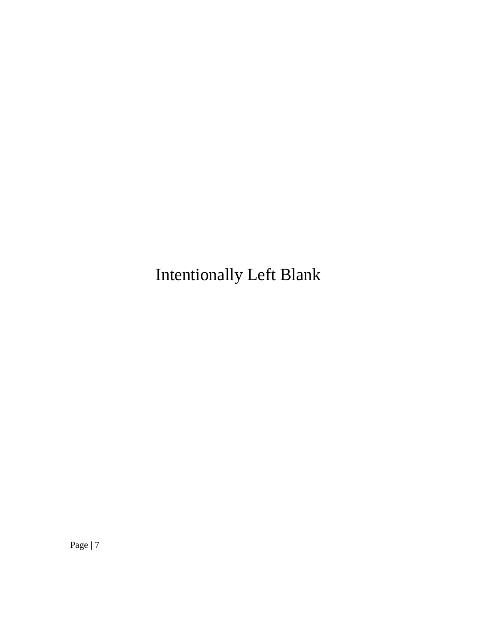Intentionally Left Blank